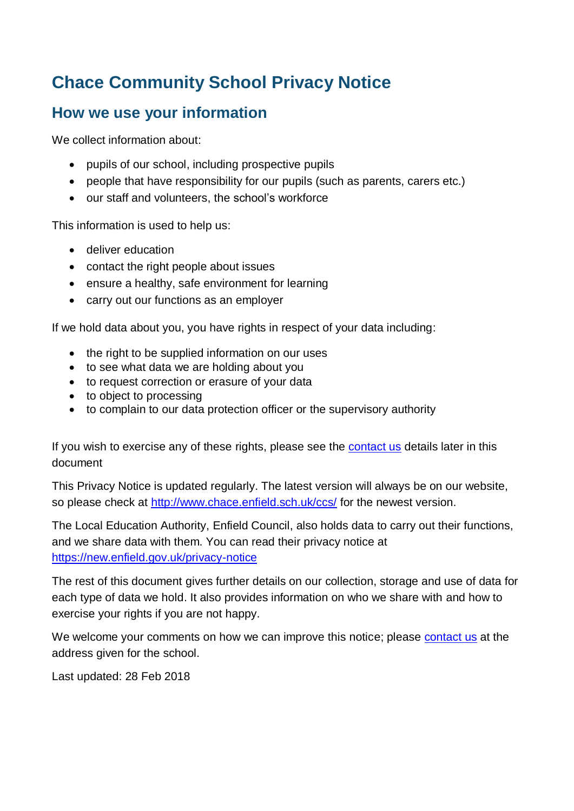# **Chace Community School Privacy Notice**

## **How we use your information**

We collect information about:

- pupils of our school, including prospective pupils
- people that have responsibility for our pupils (such as parents, carers etc.)
- our staff and volunteers, the school's workforce

This information is used to help us:

- deliver education
- contact the right people about issues
- ensure a healthy, safe environment for learning
- carry out our functions as an employer

If we hold data about you, you have rights in respect of your data including:

- the right to be supplied information on our uses
- to see what data we are holding about you
- to request correction or erasure of your data
- to object to processing
- to complain to our data protection officer or the supervisory authority

If you wish to exercise any of these rights, please see the [contact us](#page-10-0) details later in this document

This Privacy Notice is updated regularly. The latest version will always be on our website, so please check at<http://www.chace.enfield.sch.uk/ccs/> for the newest version.

The Local Education Authority, Enfield Council, also holds data to carry out their functions, and we share data with them. You can read their privacy notice at <https://new.enfield.gov.uk/privacy-notice>

The rest of this document gives further details on our collection, storage and use of data for each type of data we hold. It also provides information on who we share with and how to exercise your rights if you are not happy.

We welcome your comments on how we can improve this notice; please [contact us](#page-10-0) at the address given for the school.

Last updated: 28 Feb 2018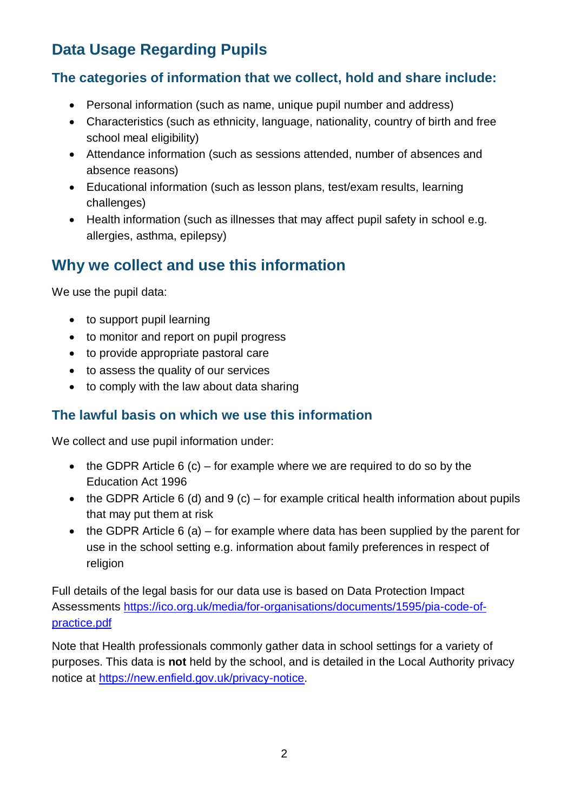# **Data Usage Regarding Pupils**

## **The categories of information that we collect, hold and share include:**

- Personal information (such as name, unique pupil number and address)
- Characteristics (such as ethnicity, language, nationality, country of birth and free school meal eligibility)
- Attendance information (such as sessions attended, number of absences and absence reasons)
- Educational information (such as lesson plans, test/exam results, learning challenges)
- Health information (such as illnesses that may affect pupil safety in school e.g. allergies, asthma, epilepsy)

# **Why we collect and use this information**

We use the pupil data:

- to support pupil learning
- to monitor and report on pupil progress
- to provide appropriate pastoral care
- to assess the quality of our services
- to comply with the law about data sharing

#### **The lawful basis on which we use this information**

We collect and use pupil information under:

- $\bullet$  the GDPR Article 6 (c) for example where we are required to do so by the Education Act 1996
- $\bullet$  the GDPR Article 6 (d) and 9 (c) for example critical health information about pupils that may put them at risk
- $\bullet$  the GDPR Article 6 (a) for example where data has been supplied by the parent for use in the school setting e.g. information about family preferences in respect of religion

Full details of the legal basis for our data use is based on Data Protection Impact Assessments [https://ico.org.uk/media/for-organisations/documents/1595/pia-code-of](https://ico.org.uk/media/for-organisations/documents/1595/pia-code-of-practice.pdf)[practice.pdf](https://ico.org.uk/media/for-organisations/documents/1595/pia-code-of-practice.pdf)

Note that Health professionals commonly gather data in school settings for a variety of purposes. This data is **not** held by the school, and is detailed in the Local Authority privacy notice at [https://new.enfield.gov.uk/privacy-notice.](https://new.enfield.gov.uk/privacy-notice)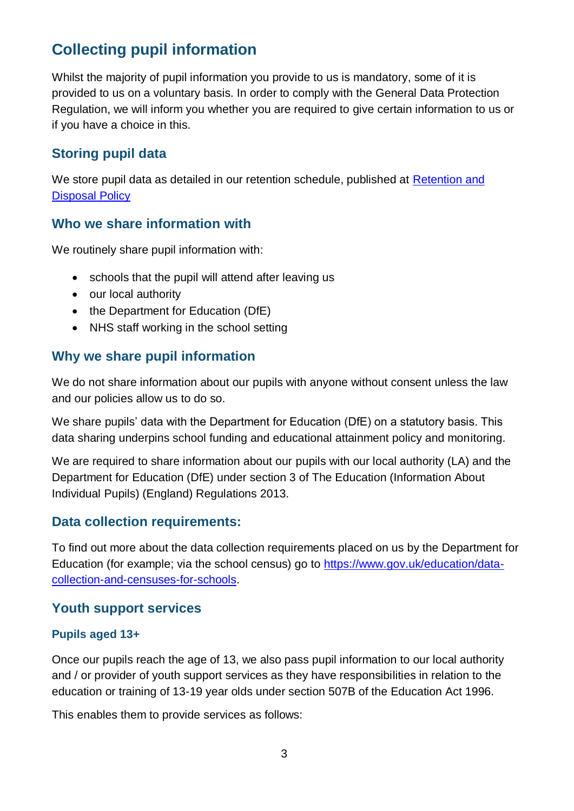# **Collecting pupil information**

Whilst the majority of pupil information you provide to us is mandatory, some of it is provided to us on a voluntary basis. In order to comply with the General Data Protection Regulation, we will inform you whether you are required to give certain information to us or if you have a choice in this.

## **Storing pupil data**

We store pupil data as detailed in our retention schedule, published at [Retention and](records_management_toolkit_for_schools_version_4_may_2012.pdf)  [Disposal Policy](records_management_toolkit_for_schools_version_4_may_2012.pdf)

#### **Who we share information with**

We routinely share pupil information with:

- schools that the pupil will attend after leaving us
- our local authority
- the Department for Education (DfE)
- NHS staff working in the school setting

#### **Why we share pupil information**

We do not share information about our pupils with anyone without consent unless the law and our policies allow us to do so.

We share pupils' data with the Department for Education (DfE) on a statutory basis. This data sharing underpins school funding and educational attainment policy and monitoring.

We are required to share information about our pupils with our local authority (LA) and the Department for Education (DfE) under section 3 of The Education (Information About Individual Pupils) (England) Regulations 2013.

#### **Data collection requirements:**

To find out more about the data collection requirements placed on us by the Department for Education (for example; via the school census) go to [https://www.gov.uk/education/data](https://www.gov.uk/education/data-collection-and-censuses-for-schools)[collection-and-censuses-for-schools.](https://www.gov.uk/education/data-collection-and-censuses-for-schools)

#### **Youth support services**

#### **Pupils aged 13+**

Once our pupils reach the age of 13, we also pass pupil information to our local authority and / or provider of youth support services as they have responsibilities in relation to the education or training of 13-19 year olds under section 507B of the Education Act 1996.

This enables them to provide services as follows: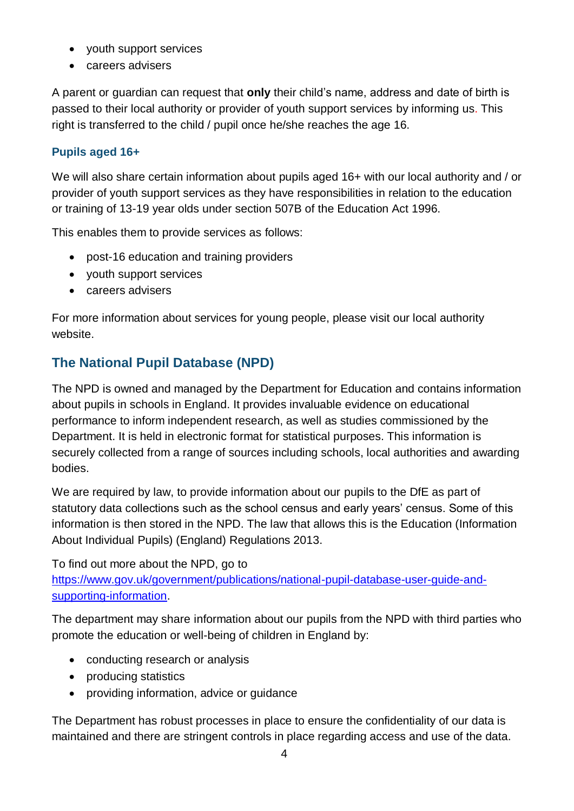- youth support services
- careers advisers

A parent or guardian can request that **only** their child's name, address and date of birth is passed to their local authority or provider of youth support services by informing us. This right is transferred to the child / pupil once he/she reaches the age 16.

#### **Pupils aged 16+**

We will also share certain information about pupils aged 16+ with our local authority and / or provider of youth support services as they have responsibilities in relation to the education or training of 13-19 year olds under section 507B of the Education Act 1996.

This enables them to provide services as follows:

- post-16 education and training providers
- youth support services
- careers advisers

For more information about services for young people, please visit our local authority website.

## **The National Pupil Database (NPD)**

The NPD is owned and managed by the Department for Education and contains information about pupils in schools in England. It provides invaluable evidence on educational performance to inform independent research, as well as studies commissioned by the Department. It is held in electronic format for statistical purposes. This information is securely collected from a range of sources including schools, local authorities and awarding bodies.

We are required by law, to provide information about our pupils to the DfE as part of statutory data collections such as the school census and early years' census. Some of this information is then stored in the NPD. The law that allows this is the Education (Information About Individual Pupils) (England) Regulations 2013.

To find out more about the NPD, go to [https://www.gov.uk/government/publications/national-pupil-database-user-guide-and](https://www.gov.uk/government/publications/national-pupil-database-user-guide-and-supporting-information)[supporting-information.](https://www.gov.uk/government/publications/national-pupil-database-user-guide-and-supporting-information)

The department may share information about our pupils from the NPD with third parties who promote the education or well-being of children in England by:

- conducting research or analysis
- producing statistics
- providing information, advice or guidance

The Department has robust processes in place to ensure the confidentiality of our data is maintained and there are stringent controls in place regarding access and use of the data.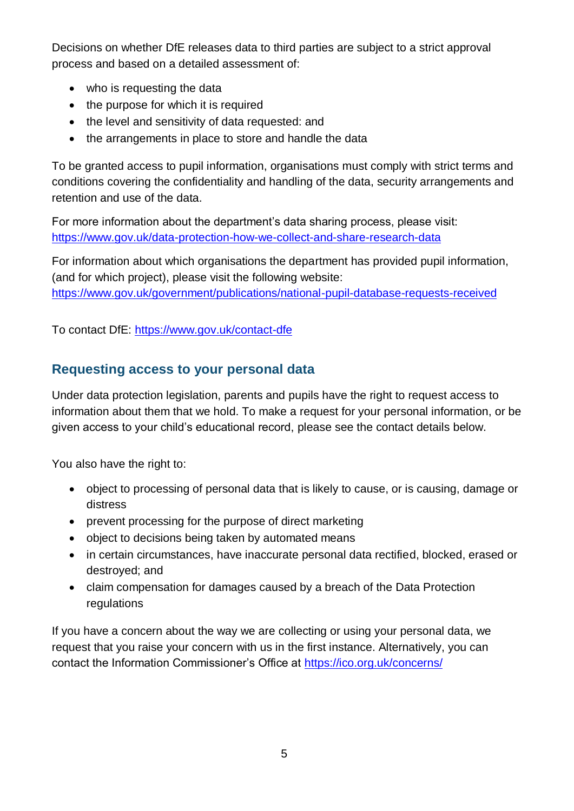Decisions on whether DfE releases data to third parties are subject to a strict approval process and based on a detailed assessment of:

- who is requesting the data
- the purpose for which it is required
- the level and sensitivity of data requested: and
- the arrangements in place to store and handle the data

To be granted access to pupil information, organisations must comply with strict terms and conditions covering the confidentiality and handling of the data, security arrangements and retention and use of the data.

For more information about the department's data sharing process, please visit: <https://www.gov.uk/data-protection-how-we-collect-and-share-research-data>

For information about which organisations the department has provided pupil information, (and for which project), please visit the following website: <https://www.gov.uk/government/publications/national-pupil-database-requests-received>

To contact DfE:<https://www.gov.uk/contact-dfe>

#### **Requesting access to your personal data**

Under data protection legislation, parents and pupils have the right to request access to information about them that we hold. To make a request for your personal information, or be given access to your child's educational record, please see the contact details below.

You also have the right to:

- object to processing of personal data that is likely to cause, or is causing, damage or distress
- prevent processing for the purpose of direct marketing
- object to decisions being taken by automated means
- in certain circumstances, have inaccurate personal data rectified, blocked, erased or destroyed; and
- claim compensation for damages caused by a breach of the Data Protection regulations

If you have a concern about the way we are collecting or using your personal data, we request that you raise your concern with us in the first instance. Alternatively, you can contact the Information Commissioner's Office at<https://ico.org.uk/concerns/>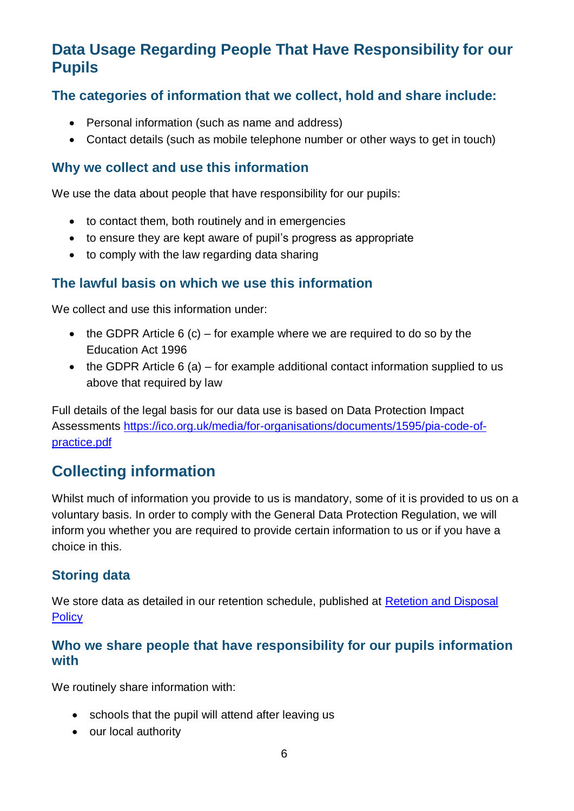# **Data Usage Regarding People That Have Responsibility for our Pupils**

## **The categories of information that we collect, hold and share include:**

- Personal information (such as name and address)
- Contact details (such as mobile telephone number or other ways to get in touch)

#### **Why we collect and use this information**

We use the data about people that have responsibility for our pupils:

- to contact them, both routinely and in emergencies
- to ensure they are kept aware of pupil's progress as appropriate
- to comply with the law regarding data sharing

#### **The lawful basis on which we use this information**

We collect and use this information under:

- $\bullet$  the GDPR Article 6 (c) for example where we are required to do so by the Education Act 1996
- $\bullet$  the GDPR Article 6 (a) for example additional contact information supplied to us above that required by law

Full details of the legal basis for our data use is based on Data Protection Impact Assessments [https://ico.org.uk/media/for-organisations/documents/1595/pia-code-of](https://ico.org.uk/media/for-organisations/documents/1595/pia-code-of-practice.pdf)[practice.pdf](https://ico.org.uk/media/for-organisations/documents/1595/pia-code-of-practice.pdf)

# **Collecting information**

Whilst much of information you provide to us is mandatory, some of it is provided to us on a voluntary basis. In order to comply with the General Data Protection Regulation, we will inform you whether you are required to provide certain information to us or if you have a choice in this.

#### **Storing data**

We store data as detailed in our retention schedule, published at [Retetion and Disposal](records_management_toolkit_for_schools_version_4_may_2012.pdf)  **[Policy](records_management_toolkit_for_schools_version_4_may_2012.pdf)** 

## **Who we share people that have responsibility for our pupils information with**

We routinely share information with:

- schools that the pupil will attend after leaving us
- our local authority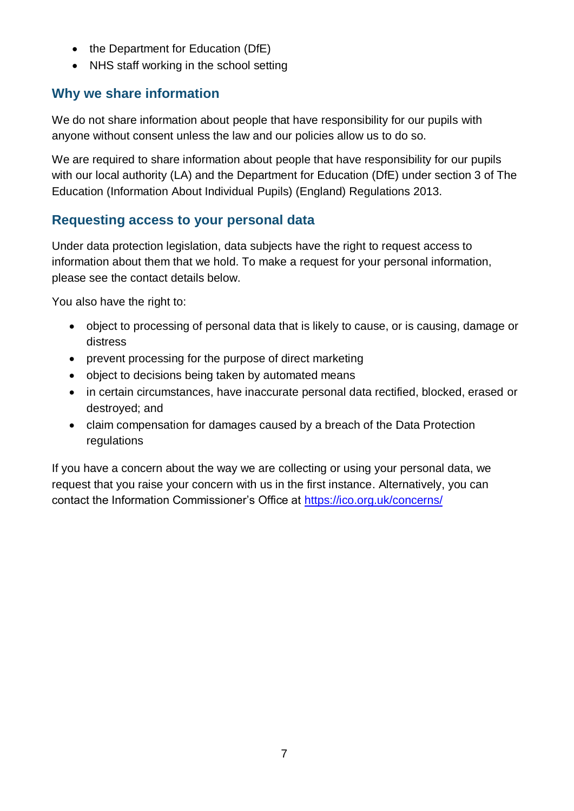- $\bullet$  the Department for Education (DfE)
- NHS staff working in the school setting

## **Why we share information**

We do not share information about people that have responsibility for our pupils with anyone without consent unless the law and our policies allow us to do so.

We are required to share information about people that have responsibility for our pupils with our local authority (LA) and the Department for Education (DfE) under section 3 of The Education (Information About Individual Pupils) (England) Regulations 2013.

## **Requesting access to your personal data**

Under data protection legislation, data subjects have the right to request access to information about them that we hold. To make a request for your personal information, please see the contact details below.

You also have the right to:

- object to processing of personal data that is likely to cause, or is causing, damage or distress
- prevent processing for the purpose of direct marketing
- object to decisions being taken by automated means
- in certain circumstances, have inaccurate personal data rectified, blocked, erased or destroyed; and
- claim compensation for damages caused by a breach of the Data Protection regulations

If you have a concern about the way we are collecting or using your personal data, we request that you raise your concern with us in the first instance. Alternatively, you can contact the Information Commissioner's Office at<https://ico.org.uk/concerns/>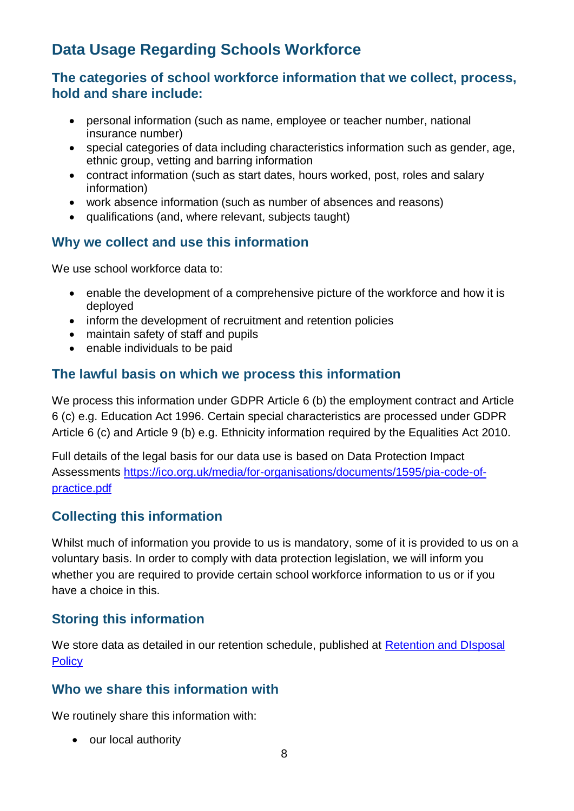# **Data Usage Regarding Schools Workforce**

#### **The categories of school workforce information that we collect, process, hold and share include:**

- personal information (such as name, employee or teacher number, national insurance number)
- special categories of data including characteristics information such as gender, age, ethnic group, vetting and barring information
- contract information (such as start dates, hours worked, post, roles and salary information)
- work absence information (such as number of absences and reasons)
- qualifications (and, where relevant, subjects taught)

## **Why we collect and use this information**

We use school workforce data to:

- enable the development of a comprehensive picture of the workforce and how it is deployed
- inform the development of recruitment and retention policies
- maintain safety of staff and pupils
- enable individuals to be paid

## **The lawful basis on which we process this information**

We process this information under GDPR Article 6 (b) the employment contract and Article 6 (c) e.g. Education Act 1996. Certain special characteristics are processed under GDPR Article 6 (c) and Article 9 (b) e.g. Ethnicity information required by the Equalities Act 2010.

Full details of the legal basis for our data use is based on Data Protection Impact Assessments [https://ico.org.uk/media/for-organisations/documents/1595/pia-code-of](https://ico.org.uk/media/for-organisations/documents/1595/pia-code-of-practice.pdf)[practice.pdf](https://ico.org.uk/media/for-organisations/documents/1595/pia-code-of-practice.pdf)

## **Collecting this information**

Whilst much of information you provide to us is mandatory, some of it is provided to us on a voluntary basis. In order to comply with data protection legislation, we will inform you whether you are required to provide certain school workforce information to us or if you have a choice in this.

#### **Storing this information**

We store data as detailed in our retention schedule, published at Retention and DIsposal **[Policy](records_management_toolkit_for_schools_version_4_may_2012.pdf)** 

#### **Who we share this information with**

We routinely share this information with:

• our local authority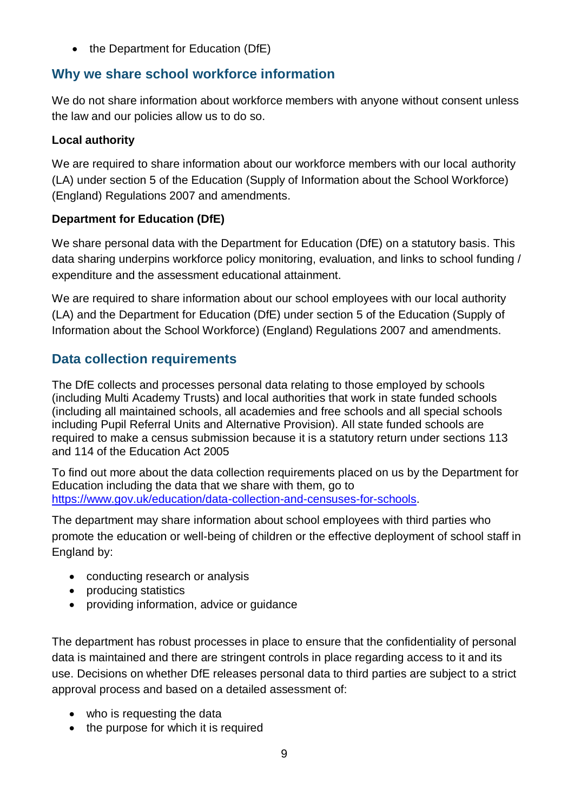• the Department for Education (DfE)

### **Why we share school workforce information**

We do not share information about workforce members with anyone without consent unless the law and our policies allow us to do so.

#### **Local authority**

We are required to share information about our workforce members with our local authority (LA) under section 5 of the Education (Supply of Information about the School Workforce) (England) Regulations 2007 and amendments.

#### **Department for Education (DfE)**

We share personal data with the Department for Education (DfE) on a statutory basis. This data sharing underpins workforce policy monitoring, evaluation, and links to school funding / expenditure and the assessment educational attainment.

We are required to share information about our school employees with our local authority (LA) and the Department for Education (DfE) under section 5 of the Education (Supply of Information about the School Workforce) (England) Regulations 2007 and amendments.

## **Data collection requirements**

The DfE collects and processes personal data relating to those employed by schools (including Multi Academy Trusts) and local authorities that work in state funded schools (including all maintained schools, all academies and free schools and all special schools including Pupil Referral Units and Alternative Provision). All state funded schools are required to make a census submission because it is a statutory return under sections 113 and 114 of the Education Act 2005

To find out more about the data collection requirements placed on us by the Department for Education including the data that we share with them, go to [https://www.gov.uk/education/data-collection-and-censuses-for-schools.](https://www.gov.uk/education/data-collection-and-censuses-for-schools)

The department may share information about school employees with third parties who promote the education or well-being of children or the effective deployment of school staff in England by:

- conducting research or analysis
- producing statistics
- providing information, advice or guidance

The department has robust processes in place to ensure that the confidentiality of personal data is maintained and there are stringent controls in place regarding access to it and its use. Decisions on whether DfE releases personal data to third parties are subject to a strict approval process and based on a detailed assessment of:

- who is requesting the data
- $\bullet$  the purpose for which it is required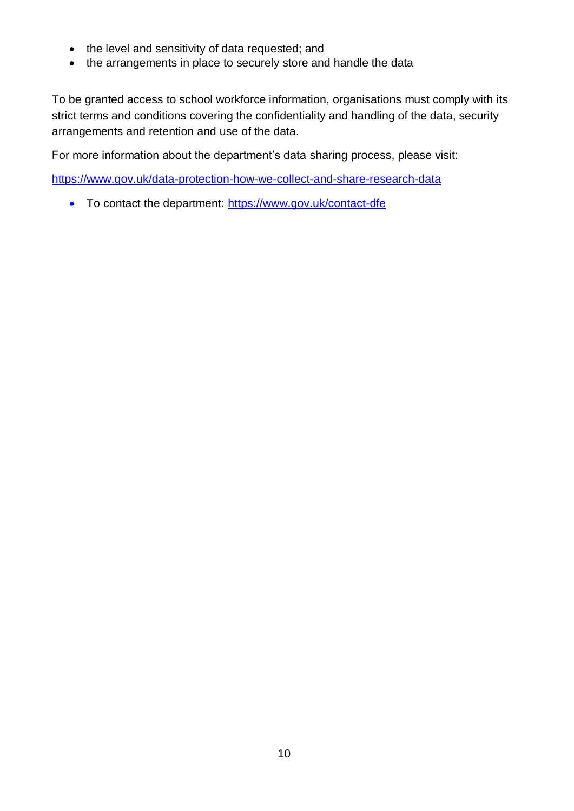- the level and sensitivity of data requested; and
- the arrangements in place to securely store and handle the data

To be granted access to school workforce information, organisations must comply with its strict terms and conditions covering the confidentiality and handling of the data, security arrangements and retention and use of the data.

For more information about the department's data sharing process, please visit:

<https://www.gov.uk/data-protection-how-we-collect-and-share-research-data>

• To contact the department:<https://www.gov.uk/contact-dfe>